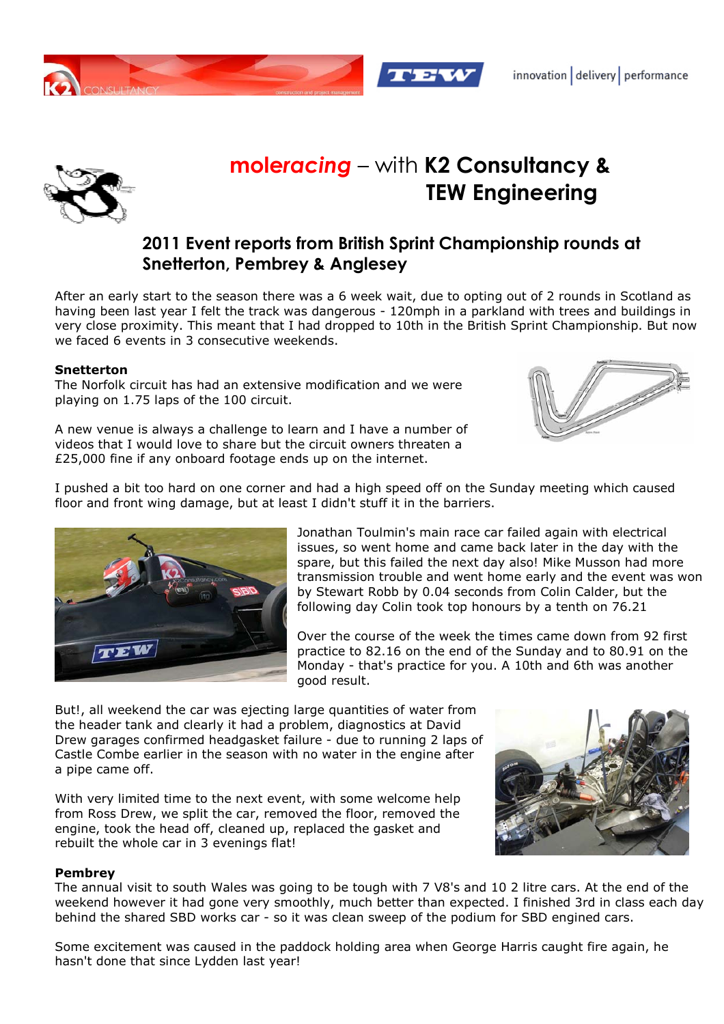



# **mole***racing* – with **K2 Consultancy & TEW Engineering**

## **2011 Event reports from British Sprint Championship rounds at Snetterton, Pembrey & Anglesey**

After an early start to the season there was a 6 week wait, due to opting out of 2 rounds in Scotland as having been last year I felt the track was dangerous - 120mph in a parkland with trees and buildings in very close proximity. This meant that I had dropped to 10th in the British Sprint Championship. But now we faced 6 events in 3 consecutive weekends.

#### **Snetterton**

The Norfolk circuit has had an extensive modification and we were playing on 1.75 laps of the 100 circuit.

A new venue is always a challenge to learn and I have a number of videos that I would love to share but the circuit owners threaten a £25,000 fine if any onboard footage ends up on the internet.



I pushed a bit too hard on one corner and had a high speed off on the Sunday meeting which caused floor and front wing damage, but at least I didn't stuff it in the barriers.

> Jonathan Toulmin's main race car failed again with electrical issues, so went home and came back later in the day with the spare, but this failed the next day also! Mike Musson had more transmission trouble and went home early and the event was won by Stewart Robb by 0.04 seconds from Colin Calder, but the following day Colin took top honours by a tenth on 76.21

Over the course of the week the times came down from 92 first practice to 82.16 on the end of the Sunday and to 80.91 on the Monday - that's practice for you. A 10th and 6th was another good result.

But!, all weekend the car was ejecting large quantities of water from the header tank and clearly it had a problem, diagnostics at David Drew garages confirmed headgasket failure - due to running 2 laps of Castle Combe earlier in the season with no water in the engine after a pipe came off.

With very limited time to the next event, with some welcome help from Ross Drew, we split the car, removed the floor, removed the engine, took the head off, cleaned up, replaced the gasket and rebuilt the whole car in 3 evenings flat!

#### **Pembrey**

The annual visit to south Wales was going to be tough with 7 V8's and 10 2 litre cars. At the end of the weekend however it had gone very smoothly, much better than expected. I finished 3rd in class each day behind the shared SBD works car - so it was clean sweep of the podium for SBD engined cars.

Some excitement was caused in the paddock holding area when George Harris caught fire again, he hasn't done that since Lydden last year!

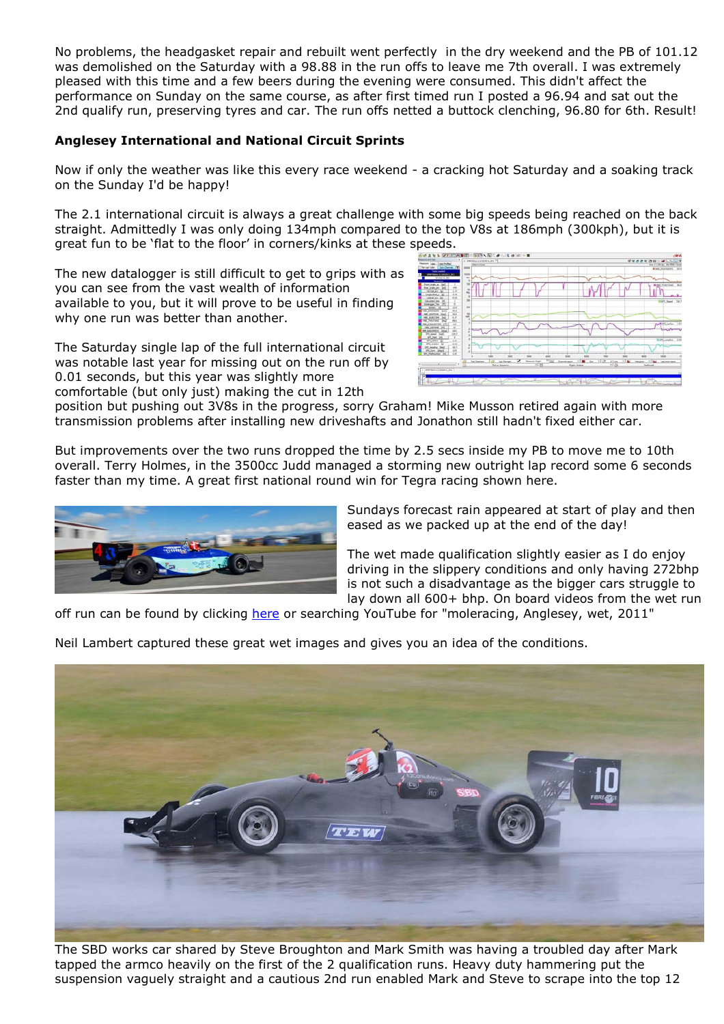No problems, the headgasket repair and rebuilt went perfectly in the dry weekend and the PB of 101.12 was demolished on the Saturday with a 98.88 in the run offs to leave me 7th overall. I was extremely pleased with this time and a few beers during the evening were consumed. This didn't affect the performance on Sunday on the same course, as after first timed run I posted a 96.94 and sat out the 2nd qualify run, preserving tyres and car. The run offs netted a buttock clenching, 96.80 for 6th. Result!

### **Anglesey International and National Circuit Sprints**

Now if only the weather was like this every race weekend - a cracking hot Saturday and a soaking track on the Sunday I'd be happy!

The 2.1 international circuit is always a great challenge with some big speeds being reached on the back straight. Admittedly I was only doing 134mph compared to the top V8s at 186mph (300kph), but it is great fun to be 'flat to the floor' in corners/kinks at these speeds.

The new datalogger is still difficult to get to grips with as you can see from the vast wealth of information available to you, but it will prove to be useful in finding why one run was better than another.

The Saturday single lap of the full international circuit was notable last year for missing out on the run off by 0.01 seconds, but this year was slightly more comfortable (but only just) making the cut in 12th



position but pushing out 3V8s in the progress, sorry Graham! Mike Musson retired again with more transmission problems after installing new driveshafts and Jonathon still hadn't fixed either car.

But improvements over the two runs dropped the time by 2.5 secs inside my PB to move me to 10th overall. Terry Holmes, in the 3500cc Judd managed a storming new outright lap record some 6 seconds faster than my time. A great first national round win for Tegra racing shown here.



Sundays forecast rain appeared at start of play and then eased as we packed up at the end of the day!

The wet made qualification slightly easier as I do enjoy driving in the slippery conditions and only having 272bhp is not such a disadvantage as the bigger cars struggle to lay down all 600+ bhp. On board videos from the wet run

off run can be found by clicking here or searching YouTube for "moleracing, Anglesey, wet, 2011"

Neil Lambert captured these great wet images and gives you an idea of the conditions.



The SBD works car shared by Steve Broughton and Mark Smith was having a troubled day after Mark tapped the armco heavily on the first of the 2 qualification runs. Heavy duty hammering put the suspension vaguely straight and a cautious 2nd run enabled Mark and Steve to scrape into the top 12